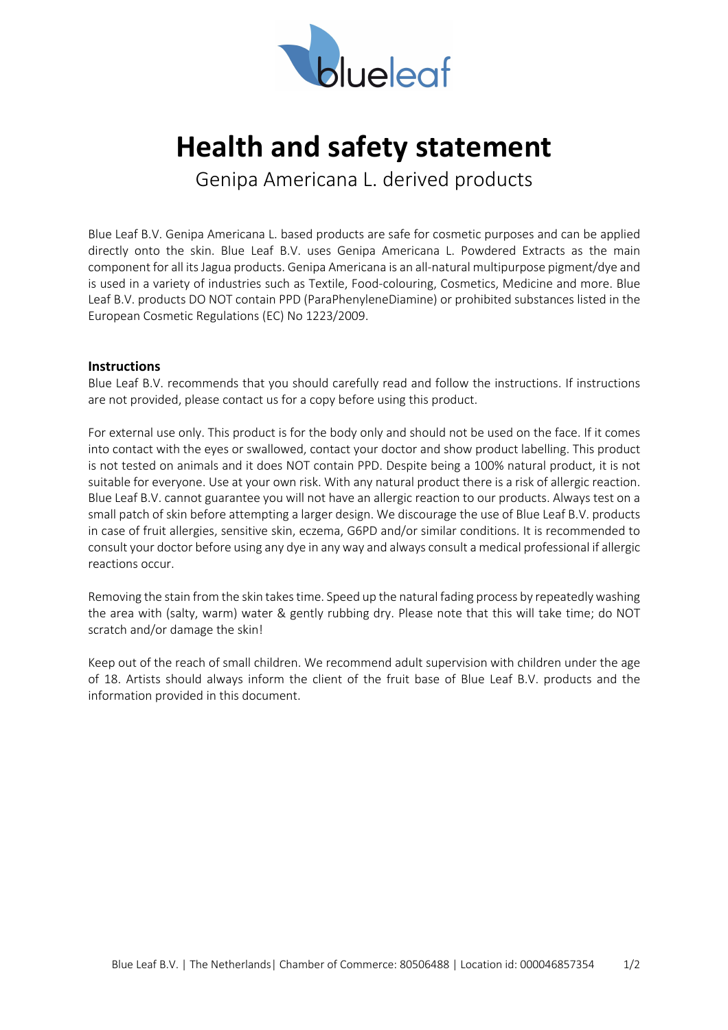

## **Health and safety statement**

Genipa Americana L. derived products

Blue Leaf B.V. Genipa Americana L. based products are safe for cosmetic purposes and can be applied directly onto the skin. Blue Leaf B.V. uses Genipa Americana L. Powdered Extracts as the main component for all its Jagua products. Genipa Americana is an all-natural multipurpose pigment/dye and is used in a variety of industries such as Textile, Food-colouring, Cosmetics, Medicine and more. Blue Leaf B.V. products DO NOT contain PPD (ParaPhenyleneDiamine) or prohibited substances listed in the European Cosmetic Regulations (EC) No 1223/2009.

## **Instructions**

Blue Leaf B.V. recommends that you should carefully read and follow the instructions. If instructions are not provided, please contact us for a copy before using this product.

For external use only. This product is for the body only and should not be used on the face. If it comes into contact with the eyes or swallowed, contact your doctor and show product labelling. This product is not tested on animals and it does NOT contain PPD. Despite being a 100% natural product, it is not suitable for everyone. Use at your own risk. With any natural product there is a risk of allergic reaction. Blue Leaf B.V. cannot guarantee you will not have an allergic reaction to our products. Always test on a small patch of skin before attempting a larger design. We discourage the use of Blue Leaf B.V. products in case of fruit allergies, sensitive skin, eczema, G6PD and/or similar conditions. It is recommended to consult your doctor before using any dye in any way and always consult a medical professional if allergic reactions occur.

Removing the stain from the skin takes time. Speed up the natural fading process by repeatedly washing the area with (salty, warm) water & gently rubbing dry. Please note that this will take time; do NOT scratch and/or damage the skin!

Keep out of the reach of small children. We recommend adult supervision with children under the age of 18. Artists should always inform the client of the fruit base of Blue Leaf B.V. products and the information provided in this document.